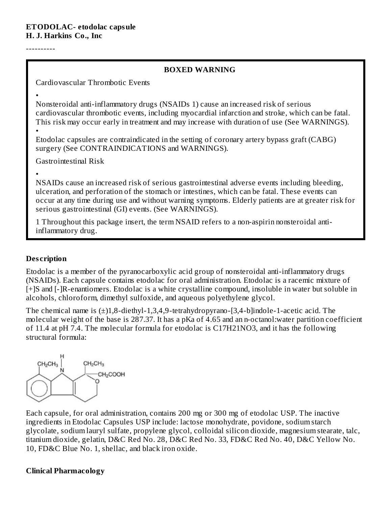----------

#### **BOXED WARNING**

Cardiovascular Thrombotic Events

• Nonsteroidal anti-inflammatory drugs (NSAIDs 1) cause an increased risk of serious cardiovascular thrombotic events, including myocardial infarction and stroke, which can be fatal. This risk may occur early in treatment and may increase with duration of use (See WARNINGS).

• Etodolac capsules are contraindicated in the setting of coronary artery bypass graft (CABG) surgery (See CONTRAINDICATIONS and WARNINGS).

Gastrointestinal Risk

• NSAIDs cause an increased risk of serious gastrointestinal adverse events including bleeding, ulceration, and perforation of the stomach or intestines, which can be fatal. These events can occur at any time during use and without warning symptoms. Elderly patients are at greater risk for serious gastrointestinal (GI) events. (See WARNINGS).

1 Throughout this package insert, the term NSAID refers to a non-aspirin nonsteroidal antiinflammatory drug.

#### **Des cription**

Etodolac is a member of the pyranocarboxylic acid group of nonsteroidal anti-inflammatory drugs (NSAIDs). Each capsule contains etodolac for oral administration. Etodolac is a racemic mixture of [+]S and [-]R-enantiomers. Etodolac is a white crystalline compound, insoluble in water but soluble in alcohols, chloroform, dimethyl sulfoxide, and aqueous polyethylene glycol.

The chemical name is (±)1,8-diethyl-1,3,4,9-tetrahydropyrano-[3,4-b]indole-1-acetic acid. The molecular weight of the base is 287.37. It has a pKa of 4.65 and an n-octanol:water partition coefficient of 11.4 at pH 7.4. The molecular formula for etodolac is C17H21NO3, and it has the following structural formula:



Each capsule, for oral administration, contains 200 mg or 300 mg of etodolac USP. The inactive ingredients in Etodolac Capsules USP include: lactose monohydrate, povidone, sodium starch glycolate, sodium lauryl sulfate, propylene glycol, colloidal silicon dioxide, magnesium stearate, talc, titanium dioxide, gelatin, D&C Red No. 28, D&C Red No. 33, FD&C Red No. 40, D&C Yellow No. 10, FD&C Blue No. 1, shellac, and black iron oxide.

#### **Clinical Pharmacology**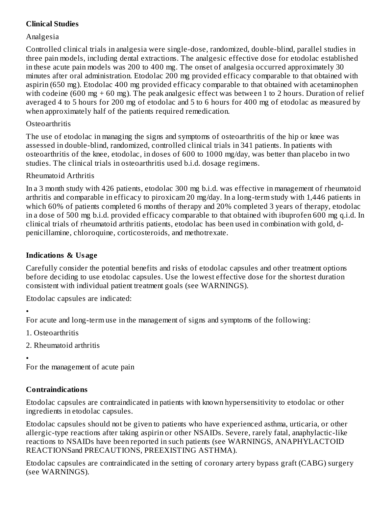### **Clinical Studies**

### Analgesia

Controlled clinical trials in analgesia were single-dose, randomized, double-blind, parallel studies in three pain models, including dental extractions. The analgesic effective dose for etodolac established in these acute pain models was 200 to 400 mg. The onset of analgesia occurred approximately 30 minutes after oral administration. Etodolac 200 mg provided efficacy comparable to that obtained with aspirin (650 mg). Etodolac 400 mg provided efficacy comparable to that obtained with acetaminophen with codeine (600 mg  $+$  60 mg). The peak analgesic effect was between 1 to 2 hours. Duration of relief averaged 4 to 5 hours for 200 mg of etodolac and 5 to 6 hours for 400 mg of etodolac as measured by when approximately half of the patients required remedication.

#### **Osteoarthritis**

The use of etodolac in managing the signs and symptoms of osteoarthritis of the hip or knee was assessed in double-blind, randomized, controlled clinical trials in 341 patients. In patients with osteoarthritis of the knee, etodolac, in doses of 600 to 1000 mg/day, was better than placebo in two studies. The clinical trials in osteoarthritis used b.i.d. dosage regimens.

### Rheumatoid Arthritis

In a 3 month study with 426 patients, etodolac 300 mg b.i.d. was effective in management of rheumatoid arthritis and comparable in efficacy to piroxicam 20 mg/day. In a long-term study with 1,446 patients in which 60% of patients completed 6 months of therapy and 20% completed 3 years of therapy, etodolac in a dose of 500 mg b.i.d. provided efficacy comparable to that obtained with ibuprofen 600 mg q.i.d. In clinical trials of rheumatoid arthritis patients, etodolac has been used in combination with gold, dpenicillamine, chloroquine, corticosteroids, and methotrexate.

# **Indications & Usage**

Carefully consider the potential benefits and risks of etodolac capsules and other treatment options before deciding to use etodolac capsules. Use the lowest effective dose for the shortest duration consistent with individual patient treatment goals (see WARNINGS).

Etodolac capsules are indicated:

```
•
```
For acute and long-term use in the management of signs and symptoms of the following:

- 1. Osteoarthritis
- 2. Rheumatoid arthritis

•

For the management of acute pain

# **Contraindications**

Etodolac capsules are contraindicated in patients with known hypersensitivity to etodolac or other ingredients in etodolac capsules.

Etodolac capsules should not be given to patients who have experienced asthma, urticaria, or other allergic-type reactions after taking aspirin or other NSAIDs. Severe, rarely fatal, anaphylactic-like reactions to NSAIDs have been reported in such patients (see WARNINGS, ANAPHYLACTOID REACTIONSand PRECAUTIONS, PREEXISTING ASTHMA).

Etodolac capsules are contraindicated in the setting of coronary artery bypass graft (CABG) surgery (see WARNINGS).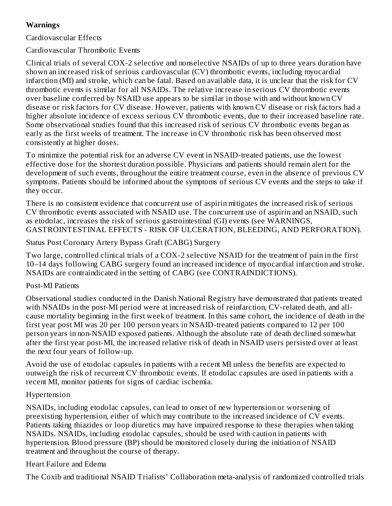# **Warnings**

Cardiovascular Effects

Cardiovascular Thrombotic Events

Clinical trials of several COX-2 selective and nonselective NSAIDs of up to three years duration have shown an increased risk of serious cardiovascular (CV) thrombotic events, including myocardial infarction (MI) and stroke, which can be fatal. Based on available data, it is unclear that the risk for CV thrombotic events is similar for all NSAIDs. The relative increase in serious CV thrombotic events over baseline conferred by NSAID use appears to be similar in those with and without known CV disease or risk factors for CV disease. However, patients with known CV disease or risk factors had a higher absolute incidence of excess serious CV thrombotic events, due to their increased baseline rate. Some observational studies found that this increased risk of serious CV thrombotic events began as early as the first weeks of treatment. The increase in CV thrombotic risk has been observed most consistently at higher doses.

To minimize the potential risk for an adverse CV event in NSAID-treated patients, use the lowest effective dose for the shortest duration possible. Physicians and patients should remain alert for the development of such events, throughout the entire treatment course, even in the absence of previous CV symptoms. Patients should be informed about the symptoms of serious CV events and the steps to take if they occur.

There is no consistent evidence that concurrent use of aspirin mitigates the increased risk of serious CV thrombotic events associated with NSAID use. The concurrent use of aspirin and an NSAID, such as etodolac, increases the risk of serious gastrointestinal (GI) events (see WARNINGS, GASTROINTESTINAL EFFECTS - RISK OF ULCERATION, BLEEDING, AND PERFORATION).

Status Post Coronary Artery Bypass Graft (CABG) Surgery

Two large, controlled clinical trials of a COX-2 selective NSAID for the treatment of pain in the first 10–14 days following CABG surgery found an increased incidence of myocardial infarction and stroke. NSAIDs are contraindicated in the setting of CABG (see CONTRAINDICTIONS).

#### Post-MI Patients

Observational studies conducted in the Danish National Registry have demonstrated that patients treated with NSAIDs in the post-MI period were at increased risk of reinfarction, CV-related death, and allcause mortality beginning in the first week of treatment. In this same cohort, the incidence of death in the first year post MI was 20 per 100 person years in NSAID-treated patients compared to 12 per 100 person years in non-NSAID exposed patients. Although the absolute rate of death declined somewhat after the first year post-MI, the increased relative risk of death in NSAID users persisted over at least the next four years of follow-up.

Avoid the use of etodolac capsules in patients with a recent MI unless the benefits are expected to outweigh the risk of recurrent CV thrombotic events. If etodolac capsules are used in patients with a recent MI, monitor patients for signs of cardiac ischemia.

#### Hypertension

NSAIDs, including etodolac capsules, can lead to onset of new hypertension or worsening of preexisting hypertension, either of which may contribute to the increased incidence of CV events. Patients taking thiazides or loop diuretics may have impaired response to these therapies when taking NSAIDs. NSAIDs, including etodolac capsules, should be used with caution in patients with hypertension. Blood pressure (BP) should be monitored closely during the initiation of NSAID treatment and throughout the course of therapy.

#### Heart Failure and Edema

The Coxib and traditional NSAID Trialists' Collaboration meta-analysis of randomized controlled trials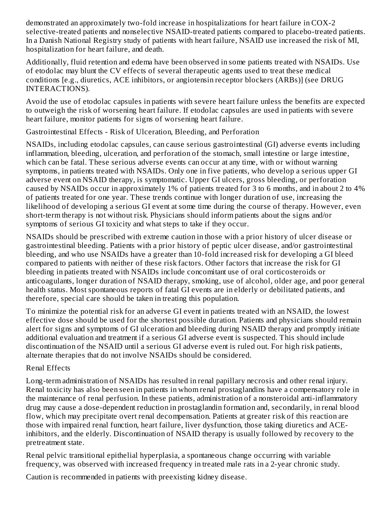demonstrated an approximately two-fold increase in hospitalizations for heart failure in COX-2 selective-treated patients and nonselective NSAID-treated patients compared to placebo-treated patients. In a Danish National Registry study of patients with heart failure, NSAID use increased the risk of MI, hospitalization for heart failure, and death.

Additionally, fluid retention and edema have been observed in some patients treated with NSAIDs. Use of etodolac may blunt the CV effects of several therapeutic agents used to treat these medical conditions [e.g., diuretics, ACE inhibitors, or angiotensin receptor blockers (ARBs)] (see DRUG INTERACTIONS).

Avoid the use of etodolac capsules in patients with severe heart failure unless the benefits are expected to outweigh the risk of worsening heart failure. If etodolac capsules are used in patients with severe heart failure, monitor patients for signs of worsening heart failure.

Gastrointestinal Effects - Risk of Ulceration, Bleeding, and Perforation

NSAIDs, including etodolac capsules, can cause serious gastrointestinal (GI) adverse events including inflammation, bleeding, ulceration, and perforation of the stomach, small intestine or large intestine, which can be fatal. These serious adverse events can occur at any time, with or without warning symptoms, in patients treated with NSAIDs. Only one in five patients, who develop a serious upper GI adverse event on NSAID therapy, is symptomatic. Upper GI ulcers, gross bleeding, or perforation caused by NSAIDs occur in approximately 1% of patients treated for 3 to 6 months, and in about 2 to 4% of patients treated for one year. These trends continue with longer duration of use, increasing the likelihood of developing a serious GI event at some time during the course of therapy. However, even short-term therapy is not without risk. Physicians should inform patients about the signs and/or symptoms of serious GI toxicity and what steps to take if they occur.

NSAIDs should be prescribed with extreme caution in those with a prior history of ulcer disease or gastrointestinal bleeding. Patients with a prior history of peptic ulcer disease, and/or gastrointestinal bleeding, and who use NSAIDs have a greater than 10-fold increased risk for developing a GI bleed compared to patients with neither of these risk factors. Other factors that increase the risk for GI bleeding in patients treated with NSAIDs include concomitant use of oral corticosteroids or anticoagulants, longer duration of NSAID therapy, smoking, use of alcohol, older age, and poor general health status. Most spontaneous reports of fatal GI events are in elderly or debilitated patients, and therefore, special care should be taken in treating this population.

To minimize the potential risk for an adverse GI event in patients treated with an NSAID, the lowest effective dose should be used for the shortest possible duration. Patients and physicians should remain alert for signs and symptoms of GI ulceration and bleeding during NSAID therapy and promptly initiate additional evaluation and treatment if a serious GI adverse event is suspected. This should include discontinuation of the NSAID until a serious GI adverse event is ruled out. For high risk patients, alternate therapies that do not involve NSAIDs should be considered.

# Renal Effects

Long-term administration of NSAIDs has resulted in renal papillary necrosis and other renal injury. Renal toxicity has also been seen in patients in whom renal prostaglandins have a compensatory role in the maintenance of renal perfusion. In these patients, administration of a nonsteroidal anti-inflammatory drug may cause a dose-dependent reduction in prostaglandin formation and, secondarily, in renal blood flow, which may precipitate overt renal decompensation. Patients at greater risk of this reaction are those with impaired renal function, heart failure, liver dysfunction, those taking diuretics and ACEinhibitors, and the elderly. Discontinuation of NSAID therapy is usually followed by recovery to the pretreatment state.

Renal pelvic transitional epithelial hyperplasia, a spontaneous change occurring with variable frequency, was observed with increased frequency in treated male rats in a 2-year chronic study.

Caution is recommended in patients with preexisting kidney disease.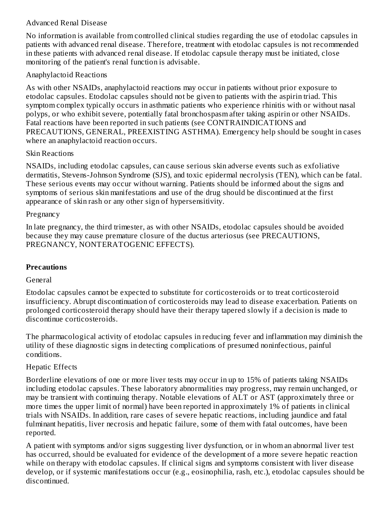#### Advanced Renal Disease

No information is available from controlled clinical studies regarding the use of etodolac capsules in patients with advanced renal disease. Therefore, treatment with etodolac capsules is not recommended in these patients with advanced renal disease. If etodolac capsule therapy must be initiated, close monitoring of the patient's renal function is advisable.

### Anaphylactoid Reactions

As with other NSAIDs, anaphylactoid reactions may occur in patients without prior exposure to etodolac capsules. Etodolac capsules should not be given to patients with the aspirin triad. This symptom complex typically occurs in asthmatic patients who experience rhinitis with or without nasal polyps, or who exhibit severe, potentially fatal bronchospasm after taking aspirin or other NSAIDs. Fatal reactions have been reported in such patients (see CONTRAINDICATIONS and PRECAUTIONS, GENERAL, PREEXISTING ASTHMA). Emergency help should be sought in cases where an anaphylactoid reaction occurs.

### Skin Reactions

NSAIDs, including etodolac capsules, can cause serious skin adverse events such as exfoliative dermatitis, Stevens-Johnson Syndrome (SJS), and toxic epidermal necrolysis (TEN), which can be fatal. These serious events may occur without warning. Patients should be informed about the signs and symptoms of serious skin manifestations and use of the drug should be discontinued at the first appearance of skin rash or any other sign of hypersensitivity.

### Pregnancy

In late pregnancy, the third trimester, as with other NSAIDs, etodolac capsules should be avoided because they may cause premature closure of the ductus arteriosus (see PRECAUTIONS, PREGNANCY, NONTERATOGENIC EFFECTS).

# **Precautions**

#### General

Etodolac capsules cannot be expected to substitute for corticosteroids or to treat corticosteroid insufficiency. Abrupt discontinuation of corticosteroids may lead to disease exacerbation. Patients on prolonged corticosteroid therapy should have their therapy tapered slowly if a decision is made to discontinue corticosteroids.

The pharmacological activity of etodolac capsules in reducing fever and inflammation may diminish the utility of these diagnostic signs in detecting complications of presumed noninfectious, painful conditions.

# Hepatic Effects

Borderline elevations of one or more liver tests may occur in up to 15% of patients taking NSAIDs including etodolac capsules. These laboratory abnormalities may progress, may remain unchanged, or may be transient with continuing therapy. Notable elevations of ALT or AST (approximately three or more times the upper limit of normal) have been reported in approximately 1% of patients in clinical trials with NSAIDs. In addition, rare cases of severe hepatic reactions, including jaundice and fatal fulminant hepatitis, liver necrosis and hepatic failure, some of them with fatal outcomes, have been reported.

A patient with symptoms and/or signs suggesting liver dysfunction, or in whom an abnormal liver test has occurred, should be evaluated for evidence of the development of a more severe hepatic reaction while on therapy with etodolac capsules. If clinical signs and symptoms consistent with liver disease develop, or if systemic manifestations occur (e.g., eosinophilia, rash, etc.), etodolac capsules should be discontinued.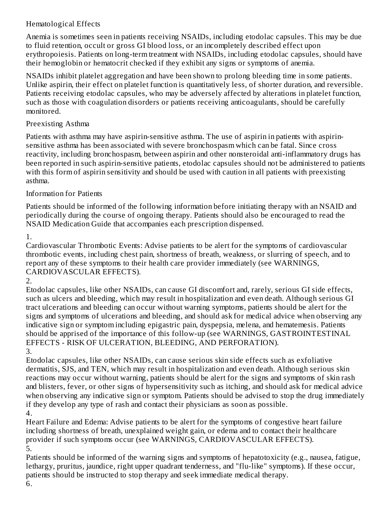# Hematological Effects

Anemia is sometimes seen in patients receiving NSAIDs, including etodolac capsules. This may be due to fluid retention, occult or gross GI blood loss, or an incompletely described effect upon erythropoiesis. Patients on long-term treatment with NSAIDs, including etodolac capsules, should have their hemoglobin or hematocrit checked if they exhibit any signs or symptoms of anemia.

NSAIDs inhibit platelet aggregation and have been shown to prolong bleeding time in some patients. Unlike aspirin, their effect on platelet function is quantitatively less, of shorter duration, and reversible. Patients receiving etodolac capsules, who may be adversely affected by alterations in platelet function, such as those with coagulation disorders or patients receiving anticoagulants, should be carefully monitored.

### Preexisting Asthma

Patients with asthma may have aspirin-sensitive asthma. The use of aspirin in patients with aspirinsensitive asthma has been associated with severe bronchospasm which can be fatal. Since cross reactivity, including bronchospasm, between aspirin and other nonsteroidal anti-inflammatory drugs has been reported in such aspirin-sensitive patients, etodolac capsules should not be administered to patients with this form of aspirin sensitivity and should be used with caution in all patients with preexisting asthma.

### Information for Patients

Patients should be informed of the following information before initiating therapy with an NSAID and periodically during the course of ongoing therapy. Patients should also be encouraged to read the NSAID Medication Guide that accompanies each prescription dispensed.

1.

Cardiovascular Thrombotic Events: Advise patients to be alert for the symptoms of cardiovascular thrombotic events, including chest pain, shortness of breath, weakness, or slurring of speech, and to report any of these symptoms to their health care provider immediately (see WARNINGS, CARDIOVASCULAR EFFECTS).

2.

Etodolac capsules, like other NSAIDs, can cause GI discomfort and, rarely, serious GI side effects, such as ulcers and bleeding, which may result in hospitalization and even death. Although serious GI tract ulcerations and bleeding can occur without warning symptoms, patients should be alert for the signs and symptoms of ulcerations and bleeding, and should ask for medical advice when observing any indicative sign or symptom including epigastric pain, dyspepsia, melena, and hematemesis. Patients should be apprised of the importance of this follow-up (see WARNINGS, GASTROINTESTINAL EFFECTS - RISK OF ULCERATION, BLEEDING, AND PERFORATION).

3.

Etodolac capsules, like other NSAIDs, can cause serious skin side effects such as exfoliative dermatitis, SJS, and TEN, which may result in hospitalization and even death. Although serious skin reactions may occur without warning, patients should be alert for the signs and symptoms of skin rash and blisters, fever, or other signs of hypersensitivity such as itching, and should ask for medical advice when observing any indicative sign or symptom. Patients should be advised to stop the drug immediately if they develop any type of rash and contact their physicians as soon as possible. 4.

Heart Failure and Edema: Advise patients to be alert for the symptoms of congestive heart failure including shortness of breath, unexplained weight gain, or edema and to contact their healthcare provider if such symptoms occur (see WARNINGS, CARDIOVASCULAR EFFECTS). 5.

Patients should be informed of the warning signs and symptoms of hepatotoxicity (e.g., nausea, fatigue, lethargy, pruritus, jaundice, right upper quadrant tenderness, and "flu-like" symptoms). If these occur, patients should be instructed to stop therapy and seek immediate medical therapy.

6.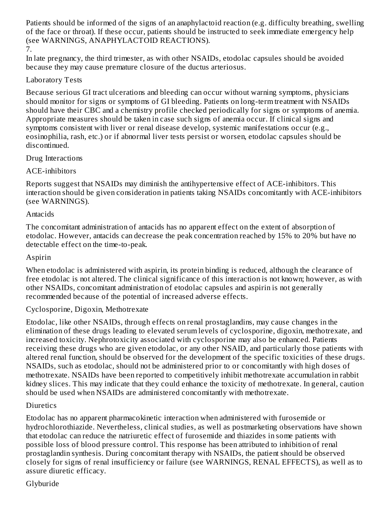Patients should be informed of the signs of an anaphylactoid reaction (e.g. difficulty breathing, swelling of the face or throat). If these occur, patients should be instructed to seek immediate emergency help (see WARNINGS, ANAPHYLACTOID REACTIONS).

7.

In late pregnancy, the third trimester, as with other NSAIDs, etodolac capsules should be avoided because they may cause premature closure of the ductus arteriosus.

### Laboratory Tests

Because serious GI tract ulcerations and bleeding can occur without warning symptoms, physicians should monitor for signs or symptoms of GI bleeding. Patients on long-term treatment with NSAIDs should have their CBC and a chemistry profile checked periodically for signs or symptoms of anemia. Appropriate measures should be taken in case such signs of anemia occur. If clinical signs and symptoms consistent with liver or renal disease develop, systemic manifestations occur (e.g., eosinophilia, rash, etc.) or if abnormal liver tests persist or worsen, etodolac capsules should be discontinued.

### Drug Interactions

# ACE-inhibitors

Reports suggest that NSAIDs may diminish the antihypertensive effect of ACE-inhibitors. This interaction should be given consideration in patients taking NSAIDs concomitantly with ACE-inhibitors (see WARNINGS).

# Antacids

The concomitant administration of antacids has no apparent effect on the extent of absorption of etodolac. However, antacids can decrease the peak concentration reached by 15% to 20% but have no detectable effect on the time-to-peak.

# Aspirin

When etodolac is administered with aspirin, its protein binding is reduced, although the clearance of free etodolac is not altered. The clinical significance of this interaction is not known; however, as with other NSAIDs, concomitant administration of etodolac capsules and aspirin is not generally recommended because of the potential of increased adverse effects.

# Cyclosporine, Digoxin, Methotrexate

Etodolac, like other NSAIDs, through effects on renal prostaglandins, may cause changes in the elimination of these drugs leading to elevated serum levels of cyclosporine, digoxin, methotrexate, and increased toxicity. Nephrotoxicity associated with cyclosporine may also be enhanced. Patients receiving these drugs who are given etodolac, or any other NSAID, and particularly those patients with altered renal function, should be observed for the development of the specific toxicities of these drugs. NSAIDs, such as etodolac, should not be administered prior to or concomitantly with high doses of methotrexate. NSAIDs have been reported to competitively inhibit methotrexate accumulation in rabbit kidney slices. This may indicate that they could enhance the toxicity of methotrexate. In general, caution should be used when NSAIDs are administered concomitantly with methotrexate.

# **Diuretics**

Etodolac has no apparent pharmacokinetic interaction when administered with furosemide or hydrochlorothiazide. Nevertheless, clinical studies, as well as postmarketing observations have shown that etodolac can reduce the natriuretic effect of furosemide and thiazides in some patients with possible loss of blood pressure control. This response has been attributed to inhibition of renal prostaglandin synthesis. During concomitant therapy with NSAIDs, the patient should be observed closely for signs of renal insufficiency or failure (see WARNINGS, RENAL EFFECTS), as well as to assure diuretic efficacy.

# Glyburide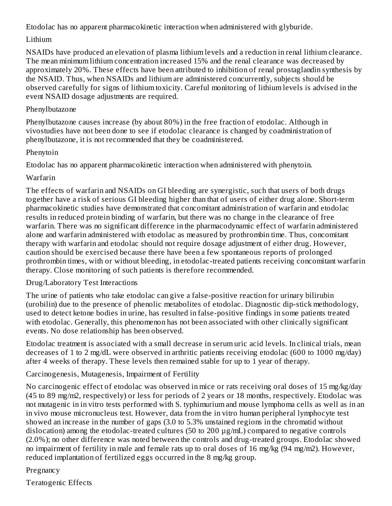Etodolac has no apparent pharmacokinetic interaction when administered with glyburide.

### Lithium

NSAIDs have produced an elevation of plasma lithium levels and a reduction in renal lithium clearance. The mean minimum lithium concentration increased 15% and the renal clearance was decreased by approximately 20%. These effects have been attributed to inhibition of renal prostaglandin synthesis by the NSAID. Thus, when NSAIDs and lithium are administered concurrently, subjects should be observed carefully for signs of lithium toxicity. Careful monitoring of lithium levels is advised in the event NSAID dosage adjustments are required.

#### Phenylbutazone

Phenylbutazone causes increase (by about 80%) in the free fraction of etodolac. Although in vivostudies have not been done to see if etodolac clearance is changed by coadministration of phenylbutazone, it is not recommended that they be coadministered.

### Phenytoin

Etodolac has no apparent pharmacokinetic interaction when administered with phenytoin.

# Warfarin

The effects of warfarin and NSAIDs on GI bleeding are synergistic, such that users of both drugs together have a risk of serious GI bleeding higher than that of users of either drug alone. Short-term pharmacokinetic studies have demonstrated that concomitant administration of warfarin and etodolac results in reduced protein binding of warfarin, but there was no change in the clearance of free warfarin. There was no significant difference in the pharmacodynamic effect of warfarin administered alone and warfarin administered with etodolac as measured by prothrombin time. Thus, concomitant therapy with warfarin and etodolac should not require dosage adjustment of either drug. However, caution should be exercised because there have been a few spontaneous reports of prolonged prothrombin times, with or without bleeding, in etodolac-treated patients receiving concomitant warfarin therapy. Close monitoring of such patients is therefore recommended.

# Drug/Laboratory Test Interactions

The urine of patients who take etodolac can give a false-positive reaction for urinary bilirubin (urobilin) due to the presence of phenolic metabolites of etodolac. Diagnostic dip-stick methodology, used to detect ketone bodies in urine, has resulted in false-positive findings in some patients treated with etodolac. Generally, this phenomenon has not been associated with other clinically significant events. No dose relationship has been observed.

Etodolac treatment is associated with a small decrease in serum uric acid levels. In clinical trials, mean decreases of 1 to 2 mg/dL were observed in arthritic patients receiving etodolac (600 to 1000 mg/day) after 4 weeks of therapy. These levels then remained stable for up to 1 year of therapy.

# Carcinogenesis, Mutagenesis, Impairment of Fertility

No carcinogenic effect of etodolac was observed in mice or rats receiving oral doses of 15 mg/kg/day (45 to 89 mg/m2, respectively) or less for periods of 2 years or 18 months, respectively. Etodolac was not mutagenic in in vitro tests performed with S. typhimurium and mouse lymphoma cells as well as in an in vivo mouse micronucleus test. However, data from the in vitro human peripheral lymphocyte test showed an increase in the number of gaps (3.0 to 5.3% unstained regions in the chromatid without dislocation) among the etodolac-treated cultures (50 to 200 µg/mL) compared to negative controls (2.0%); no other difference was noted between the controls and drug-treated groups. Etodolac showed no impairment of fertility in male and female rats up to oral doses of 16 mg/kg (94 mg/m2). However, reduced implantation of fertilized eggs occurred in the 8 mg/kg group.

# Pregnancy

Teratogenic Effects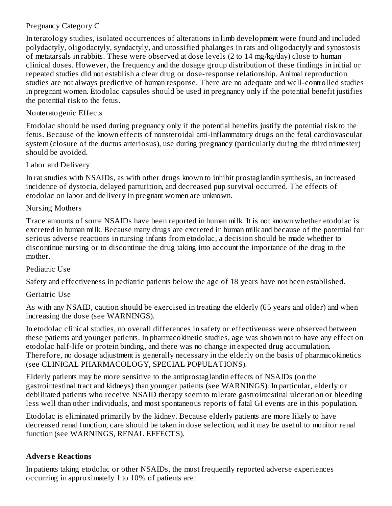#### Pregnancy Category C

In teratology studies, isolated occurrences of alterations in limb development were found and included polydactyly, oligodactyly, syndactyly, and unossified phalanges in rats and oligodactyly and synostosis of metatarsals in rabbits. These were observed at dose levels (2 to 14 mg/kg/day) close to human clinical doses. However, the frequency and the dosage group distribution of these findings in initial or repeated studies did not establish a clear drug or dose-response relationship. Animal reproduction studies are not always predictive of human response. There are no adequate and well-controlled studies in pregnant women. Etodolac capsules should be used in pregnancy only if the potential benefit justifies the potential risk to the fetus.

#### Nonteratogenic Effects

Etodolac should be used during pregnancy only if the potential benefits justify the potential risk to the fetus. Because of the known effects of nonsteroidal anti-inflammatory drugs on the fetal cardiovascular system (closure of the ductus arteriosus), use during pregnancy (particularly during the third trimester) should be avoided.

#### Labor and Delivery

In rat studies with NSAIDs, as with other drugs known to inhibit prostaglandin synthesis, an increased incidence of dystocia, delayed parturition, and decreased pup survival occurred. The effects of etodolac on labor and delivery in pregnant women are unknown.

### Nursing Mothers

Trace amounts of some NSAIDs have been reported in human milk. It is not known whether etodolac is excreted in human milk. Because many drugs are excreted in human milk and because of the potential for serious adverse reactions in nursing infants from etodolac, a decision should be made whether to discontinue nursing or to discontinue the drug taking into account the importance of the drug to the mother.

# Pediatric Use

Safety and effectiveness in pediatric patients below the age of 18 years have not been established.

# Geriatric Use

As with any NSAID, caution should be exercised in treating the elderly (65 years and older) and when increasing the dose (see WARNINGS).

In etodolac clinical studies, no overall differences in safety or effectiveness were observed between these patients and younger patients. In pharmacokinetic studies, age was shown not to have any effect on etodolac half-life or protein binding, and there was no change in expected drug accumulation. Therefore, no dosage adjustment is generally necessary in the elderly on the basis of pharmacokinetics (see CLINICAL PHARMACOLOGY, SPECIAL POPULATIONS).

Elderly patients may be more sensitive to the antiprostaglandin effects of NSAIDs (on the gastrointestinal tract and kidneys) than younger patients (see WARNINGS). In particular, elderly or debilitated patients who receive NSAID therapy seem to tolerate gastrointestinal ulceration or bleeding less well than other individuals, and most spontaneous reports of fatal GI events are in this population.

Etodolac is eliminated primarily by the kidney. Because elderly patients are more likely to have decreased renal function, care should be taken in dose selection, and it may be useful to monitor renal function (see WARNINGS, RENAL EFFECTS).

# **Advers e Reactions**

In patients taking etodolac or other NSAIDs, the most frequently reported adverse experiences occurring in approximately 1 to 10% of patients are: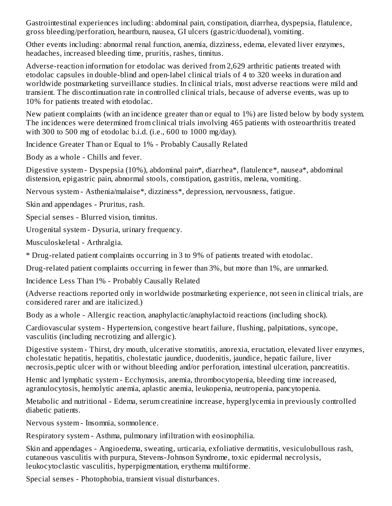Gastrointestinal experiences including: abdominal pain, constipation, diarrhea, dyspepsia, flatulence, gross bleeding/perforation, heartburn, nausea, GI ulcers (gastric/duodenal), vomiting.

Other events including: abnormal renal function, anemia, dizziness, edema, elevated liver enzymes, headaches, increased bleeding time, pruritis, rashes, tinnitus.

Adverse-reaction information for etodolac was derived from 2,629 arthritic patients treated with etodolac capsules in double-blind and open-label clinical trials of 4 to 320 weeks in duration and worldwide postmarketing surveillance studies. In clinical trials, most adverse reactions were mild and transient. The discontinuation rate in controlled clinical trials, because of adverse events, was up to 10% for patients treated with etodolac.

New patient complaints (with an incidence greater than or equal to 1%) are listed below by body system. The incidences were determined from clinical trials involving 465 patients with osteoarthritis treated with 300 to 500 mg of etodolac b.i.d. (i.e., 600 to 1000 mg/day).

Incidence Greater Than or Equal to 1% - Probably Causally Related

Body as a whole - Chills and fever.

Digestive system - Dyspepsia (10%), abdominal pain\*, diarrhea\*, flatulence\*, nausea\*, abdominal distension, epigastric pain, abnormal stools, constipation, gastritis, melena, vomiting.

Nervous system - Asthenia/malaise\*, dizziness\*, depression, nervousness, fatigue.

Skin and appendages - Pruritus, rash.

Special senses - Blurred vision, tinnitus.

Urogenital system - Dysuria, urinary frequency.

Musculoskeletal - Arthralgia.

\* Drug-related patient complaints occurring in 3 to 9% of patients treated with etodolac.

Drug-related patient complaints occurring in fewer than 3%, but more than 1%, are unmarked.

Incidence Less Than 1% - Probably Causally Related

(Adverse reactions reported only in worldwide postmarketing experience, not seen in clinical trials, are considered rarer and are italicized.)

Body as a whole - Allergic reaction, anaphylactic/anaphylactoid reactions (including shock).

Cardiovascular system - Hypertension, congestive heart failure, flushing, palpitations, syncope, vasculitis (including necrotizing and allergic).

Digestive system - Thirst, dry mouth, ulcerative stomatitis, anorexia, eructation, elevated liver enzymes, cholestatic hepatitis, hepatitis, cholestatic jaundice, duodenitis, jaundice, hepatic failure, liver necrosis,peptic ulcer with or without bleeding and/or perforation, intestinal ulceration, pancreatitis.

Hemic and lymphatic system - Ecchymosis, anemia, thrombocytopenia, bleeding time increased, agranulocytosis, hemolytic anemia, aplastic anemia, leukopenia, neutropenia, pancytopenia.

Metabolic and nutritional - Edema, serum creatinine increase, hyperglycemia in previously controlled diabetic patients.

Nervous system - Insomnia, somnolence.

Respiratory system - Asthma, pulmonary infiltration with eosinophilia.

Skin and appendages - Angioedema, sweating, urticaria, exfoliative dermatitis, vesiculobullous rash, cutaneous vasculitis with purpura, Stevens-Johnson Syndrome, toxic epidermal necrolysis, leukocytoclastic vasculitis, hyperpigmentation, erythema multiforme.

Special senses - Photophobia, transient visual disturbances.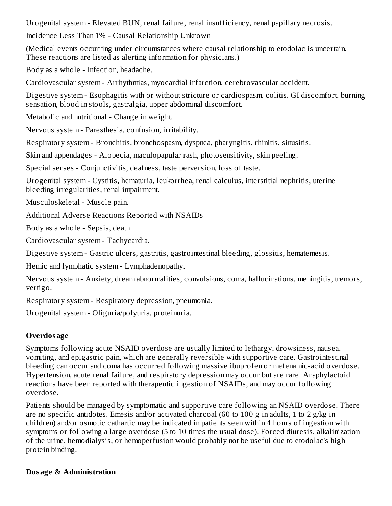Urogenital system - Elevated BUN, renal failure, renal insufficiency, renal papillary necrosis.

Incidence Less Than 1% - Causal Relationship Unknown

(Medical events occurring under circumstances where causal relationship to etodolac is uncertain. These reactions are listed as alerting information for physicians.)

Body as a whole - Infection, headache.

Cardiovascular system - Arrhythmias, myocardial infarction, cerebrovascular accident.

Digestive system - Esophagitis with or without stricture or cardiospasm, colitis, GI discomfort, burning sensation, blood in stools, gastralgia, upper abdominal discomfort.

Metabolic and nutritional - Change in weight.

Nervous system - Paresthesia, confusion, irritability.

Respiratory system - Bronchitis, bronchospasm, dyspnea, pharyngitis, rhinitis, sinusitis.

Skin and appendages - Alopecia, maculopapular rash, photosensitivity, skin peeling.

Special senses - Conjunctivitis, deafness, taste perversion, loss of taste.

Urogenital system - Cystitis, hematuria, leukorrhea, renal calculus, interstitial nephritis, uterine bleeding irregularities, renal impairment.

Musculoskeletal - Muscle pain.

Additional Adverse Reactions Reported with NSAIDs

Body as a whole - Sepsis, death.

Cardiovascular system - Tachycardia.

Digestive system - Gastric ulcers, gastritis, gastrointestinal bleeding, glossitis, hematemesis.

Hemic and lymphatic system - Lymphadenopathy.

Nervous system - Anxiety, dream abnormalities, convulsions, coma, hallucinations, meningitis, tremors, vertigo.

Respiratory system - Respiratory depression, pneumonia.

Urogenital system - Oliguria/polyuria, proteinuria.

# **Overdosage**

Symptoms following acute NSAID overdose are usually limited to lethargy, drowsiness, nausea, vomiting, and epigastric pain, which are generally reversible with supportive care. Gastrointestinal bleeding can occur and coma has occurred following massive ibuprofen or mefenamic-acid overdose. Hypertension, acute renal failure, and respiratory depression may occur but are rare. Anaphylactoid reactions have been reported with therapeutic ingestion of NSAIDs, and may occur following overdose.

Patients should be managed by symptomatic and supportive care following an NSAID overdose. There are no specific antidotes. Emesis and/or activated charcoal (60 to 100 g in adults, 1 to 2 g/kg in children) and/or osmotic cathartic may be indicated in patients seen within 4 hours of ingestion with symptoms or following a large overdose (5 to 10 times the usual dose). Forced diuresis, alkalinization of the urine, hemodialysis, or hemoperfusion would probably not be useful due to etodolac's high protein binding.

#### **Dosage & Administration**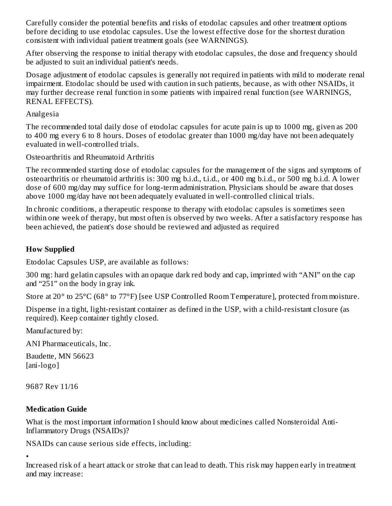Carefully consider the potential benefits and risks of etodolac capsules and other treatment options before deciding to use etodolac capsules. Use the lowest effective dose for the shortest duration consistent with individual patient treatment goals (see WARNINGS).

After observing the response to initial therapy with etodolac capsules, the dose and frequency should be adjusted to suit an individual patient's needs.

Dosage adjustment of etodolac capsules is generally not required in patients with mild to moderate renal impairment. Etodolac should be used with caution in such patients, because, as with other NSAIDs, it may further decrease renal function in some patients with impaired renal function (see WARNINGS, RENAL EFFECTS).

#### Analgesia

The recommended total daily dose of etodolac capsules for acute pain is up to 1000 mg, given as 200 to 400 mg every 6 to 8 hours. Doses of etodolac greater than 1000 mg/day have not been adequately evaluated in well-controlled trials.

Osteoarthritis and Rheumatoid Arthritis

The recommended starting dose of etodolac capsules for the management of the signs and symptoms of osteoarthritis or rheumatoid arthritis is: 300 mg b.i.d., t.i.d., or 400 mg b.i.d., or 500 mg b.i.d. A lower dose of 600 mg/day may suffice for long-term administration. Physicians should be aware that doses above 1000 mg/day have not been adequately evaluated in well-controlled clinical trials.

In chronic conditions, a therapeutic response to therapy with etodolac capsules is sometimes seen within one week of therapy, but most often is observed by two weeks. After a satisfactory response has been achieved, the patient's dose should be reviewed and adjusted as required

### **How Supplied**

Etodolac Capsules USP, are available as follows:

300 mg: hard gelatin capsules with an opaque dark red body and cap, imprinted with "ANI" on the cap and "251" on the body in gray ink.

Store at 20° to 25°C (68° to 77°F) [see USP Controlled Room Temperature], protected from moisture.

Dispense in a tight, light-resistant container as defined in the USP, with a child-resistant closure (as required). Keep container tightly closed.

Manufactured by:

ANI Pharmaceuticals, Inc.

Baudette, MN 56623 [ani-logo]

9687 Rev 11/16

# **Medication Guide**

What is the most important information I should know about medicines called Nonsteroidal Anti-Inflammatory Drugs (NSAIDs)?

NSAIDs can cause serious side effects, including:

• Increased risk of a heart attack or stroke that can lead to death. This risk may happen early in treatment and may increase: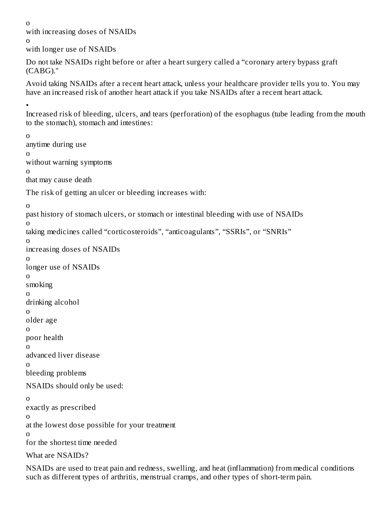o

with increasing doses of NSAIDs

o

with longer use of NSAIDs

Do not take NSAIDs right before or after a heart surgery called a "coronary artery bypass graft (CABG)."

Avoid taking NSAIDs after a recent heart attack, unless your healthcare provider tells you to. You may have an increased risk of another heart attack if you take NSAIDs after a recent heart attack.

•

Increased risk of bleeding, ulcers, and tears (perforation) of the esophagus (tube leading from the mouth to the stomach), stomach and intestines:

o anytime during use o without warning symptoms o that may cause death The risk of getting an ulcer or bleeding increases with: o past history of stomach ulcers, or stomach or intestinal bleeding with use of NSAIDs o taking medicines called "corticosteroids", "anticoagulants", "SSRIs", or "SNRIs" o increasing doses of NSAIDs o longer use of NSAIDs o smoking o drinking alcohol o older age o poor health o advanced liver disease o bleeding problems NSAIDs should only be used: o exactly as prescribed o at the lowest dose possible for your treatment o for the shortest time needed What are NSAIDs?

NSAIDs are used to treat pain and redness, swelling, and heat (inflammation) from medical conditions such as different types of arthritis, menstrual cramps, and other types of short-term pain.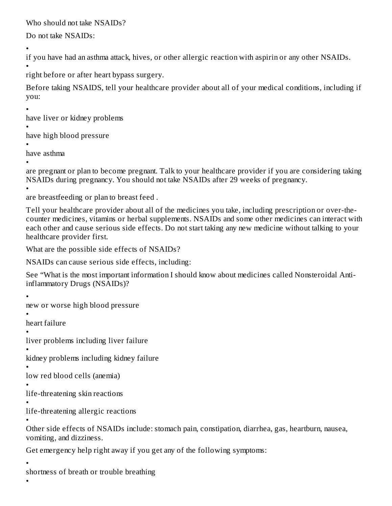Who should not take NSAIDs?

Do not take NSAIDs:

•

if you have had an asthma attack, hives, or other allergic reaction with aspirin or any other NSAIDs.

• right before or after heart bypass surgery.

Before taking NSAIDS, tell your healthcare provider about all of your medical conditions, including if you:

•

have liver or kidney problems

•

•

have high blood pressure

• have asthma

are pregnant or plan to become pregnant. Talk to your healthcare provider if you are considering taking NSAIDs during pregnancy. You should not take NSAIDs after 29 weeks of pregnancy.

• are breastfeeding or plan to breast feed .

Tell your healthcare provider about all of the medicines you take, including prescription or over-thecounter medicines, vitamins or herbal supplements. NSAIDs and some other medicines can interact with each other and cause serious side effects. Do not start taking any new medicine without talking to your healthcare provider first.

What are the possible side effects of NSAIDs?

NSAIDs can cause serious side effects, including:

See "What is the most important information I should know about medicines called Nonsteroidal Antiinflammatory Drugs (NSAIDs)?

•

new or worse high blood pressure

• heart failure

•

liver problems including liver failure

• kidney problems including kidney failure

```
•
low red blood cells (anemia)
```
• life-threatening skin reactions

• life-threatening allergic reactions

• Other side effects of NSAIDs include: stomach pain, constipation, diarrhea, gas, heartburn, nausea, vomiting, and dizziness.

Get emergency help right away if you get any of the following symptoms:

•

shortness of breath or trouble breathing

•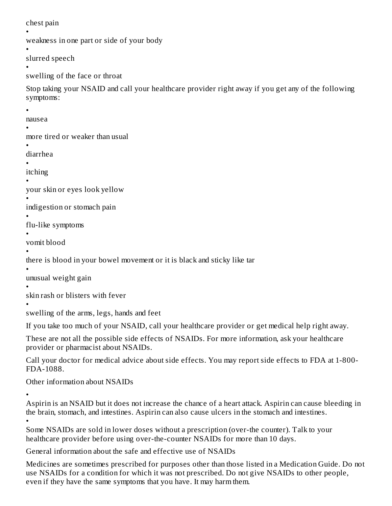chest pain

```
•
weakness in one part or side of your body
```
•

slurred speech •

```
swelling of the face or throat
```
Stop taking your NSAID and call your healthcare provider right away if you get any of the following symptoms:

•

```
nausea
```
•

more tired or weaker than usual

• diarrhea

•

itching •

your skin or eyes look yellow

• indigestion or stomach pain

• flu-like symptoms

• vomit blood

• there is blood in your bowel movement or it is black and sticky like tar

• unusual weight gain

• skin rash or blisters with fever

• swelling of the arms, legs, hands and feet

If you take too much of your NSAID, call your healthcare provider or get medical help right away.

These are not all the possible side effects of NSAIDs. For more information, ask your healthcare provider or pharmacist about NSAIDs.

Call your doctor for medical advice about side effects. You may report side effects to FDA at 1-800- FDA-1088.

Other information about NSAIDs

• Aspirin is an NSAID but it does not increase the chance of a heart attack. Aspirin can cause bleeding in the brain, stomach, and intestines. Aspirin can also cause ulcers in the stomach and intestines. •

Some NSAIDs are sold in lower doses without a prescription (over-the counter). Talk to your healthcare provider before using over-the-counter NSAIDs for more than 10 days.

General information about the safe and effective use of NSAIDs

Medicines are sometimes prescribed for purposes other than those listed in a Medication Guide. Do not use NSAIDs for a condition for which it was not prescribed. Do not give NSAIDs to other people, even if they have the same symptoms that you have. It may harm them.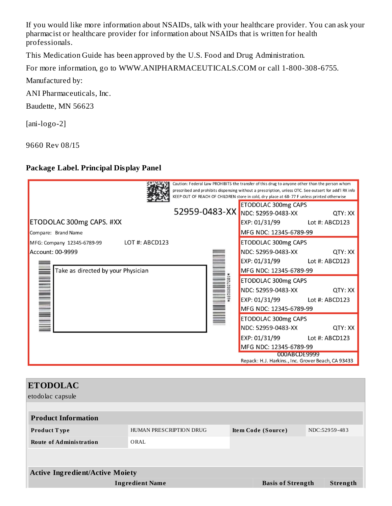If you would like more information about NSAIDs, talk with your healthcare provider. You can ask your pharmacist or healthcare provider for information about NSAIDs that is written for health professionals.

This Medication Guide has been approved by the U.S. Food and Drug Administration.

For more information, go to WWW.ANIPHARMACEUTICALS.COM or call 1-800-308-6755.

Manufactured by:

ANI Pharmaceuticals, Inc.

Baudette, MN 56623

[ani-logo-2]

9660 Rev 08/15

#### **Package Label. Principal Display Panel**

|                                                                     | Caution: Federal Law PROHIBITS the transfer of this drug to anyone other than the person whom<br>prescribed and prohibits dispensing without a prescription, unless OTC. See outsert for add'l RX info<br>KEEP OUT OF REACH OF CHILDREN store in cold, dry place at 68-77 F unless printed otherwise |         |
|---------------------------------------------------------------------|------------------------------------------------------------------------------------------------------------------------------------------------------------------------------------------------------------------------------------------------------------------------------------------------------|---------|
| ETODOLAC 300mg CAPS. #XX                                            | ETODOLAC 300mg CAPS<br>52959-0483-XX NDC: 52959-0483-XX<br>EXP: 01/31/99 Lot #: ABCD123                                                                                                                                                                                                              | QTY: XX |
| Compare: Brand Name<br>LOT #: ABCD123<br>MFG: Company 12345-6789-99 | MFG NDC: 12345-6789-99<br>ETODOLAC 300mg CAPS                                                                                                                                                                                                                                                        |         |
| Account: 00-9999<br>Take as directed by your Physician              | NDC: 52959-0483-XX<br>EXP: 01/31/99 Lot #: ABCD123<br>MFG NDC: 12345-6789-99                                                                                                                                                                                                                         | QTY: XX |
|                                                                     | ETODOLAC 300mg CAPS<br>NDC: 52959-0483-XX<br>EXP: 01/31/99 Lot #: ABCD123<br>MFG NDC: 12345-6789-99                                                                                                                                                                                                  | QTY: XX |
|                                                                     | ETODOLAC 300mg CAPS<br>NDC: 52959-0483-XX<br>EXP: 01/31/99 Lot #: ABCD123<br>MFG NDC: 12345-6789-99                                                                                                                                                                                                  | QTY: XX |
|                                                                     | 000ABCDE9999<br>Repack: H.J. Harkins., Inc. Grover Beach, CA 93433                                                                                                                                                                                                                                   |         |

| <b>ETODOLAC</b><br>etodolac capsule    |                         |                                     |          |  |
|----------------------------------------|-------------------------|-------------------------------------|----------|--|
| <b>Product Information</b>             |                         |                                     |          |  |
| <b>Product Type</b>                    | HUMAN PRESCRIPTION DRUG | NDC:52959-483<br>Item Code (Source) |          |  |
| <b>Route of Administration</b>         | ORAL                    |                                     |          |  |
|                                        |                         |                                     |          |  |
| <b>Active Ingredient/Active Moiety</b> |                         |                                     |          |  |
| <b>Ingredient Name</b>                 |                         | <b>Basis of Strength</b>            | Strength |  |
|                                        |                         |                                     |          |  |